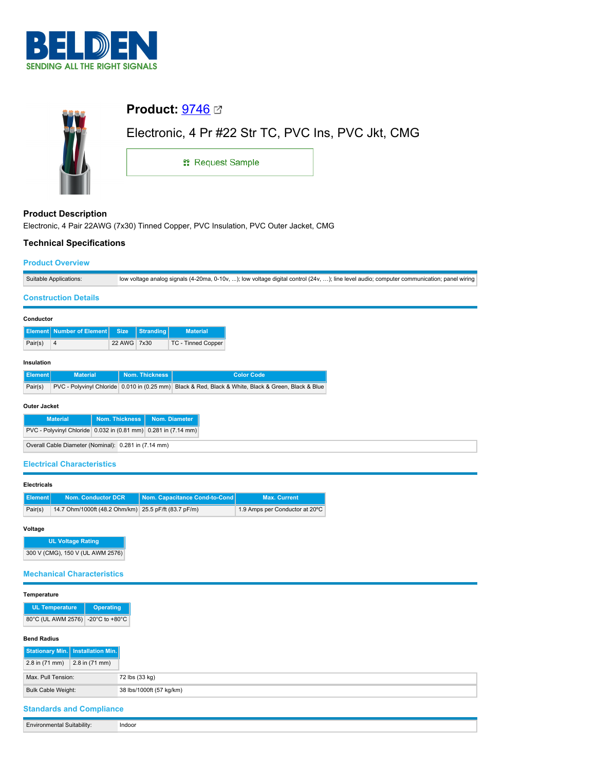



# **Product Description** Electronic, 4 Pair 22AWG (7x30) Tinned Copper, PVC Insulation, PVC Outer Jacket, CMG

## **Technical Specifications**

## **Product Overview**

| Suitable Applications: | vw voltage analog signals (4-20ma, 0-10v, ); low voltage digital control (24v, ); line level audio; computer communication; panel wiring |
|------------------------|------------------------------------------------------------------------------------------------------------------------------------------|
|                        |                                                                                                                                          |

## **Construction Details**

| Conductor |                                           |             |           |                    |
|-----------|-------------------------------------------|-------------|-----------|--------------------|
|           | <b>Element   Number of Element   Size</b> |             | Stranding | <b>Material</b>    |
| Pair(s)   | 4                                         | 22 AWG 7x30 |           | TC - Tinned Copper |

## **Insulation**

| ll Element I | <b>Material</b> | <b>Nom. Thickness</b> | <b>Color Code</b>                                                                                   |
|--------------|-----------------|-----------------------|-----------------------------------------------------------------------------------------------------|
| Pair(s)      |                 |                       | PVC - Polyvinyl Chloride 0.010 in (0.25 mm) Black & Red, Black & White, Black & Green, Black & Blue |

## **Outer Jacket**

| <b>Material</b>                                                | Nom. Thickness   Nom. Diameter |  |  |
|----------------------------------------------------------------|--------------------------------|--|--|
| PVC - Polyvinyl Chloride 0.032 in (0.81 mm) 0.281 in (7.14 mm) |                                |  |  |
| Overall Cable Diameter (Nominal): 0.281 in (7.14 mm)           |                                |  |  |

## **Electrical Characteristics**

## **Electricals**

| Element | <b>Nom. Conductor DCR</b>                            | Nom. Capacitance Cond-to-Cond | <b>Max. Current</b>            |
|---------|------------------------------------------------------|-------------------------------|--------------------------------|
|         |                                                      |                               |                                |
| Pair(s) | 14.7 Ohm/1000ft (48.2 Ohm/km) 25.5 pF/ft (83.7 pF/m) |                               | 1.9 Amps per Conductor at 20°C |

### **Voltage**

**UL Voltage Rating** 300 V (CMG), 150 V (UL AWM 2576)

## **Mechanical Characteristics**

#### **Temperature**

| <b>UL Temperature</b>             | <b>Operating</b> |
|-----------------------------------|------------------|
| 80°C (UL AWM 2576) -20°C to +80°C |                  |

#### **Bend Radius**

|                           | Stationary Min.   Installation Min. |
|---------------------------|-------------------------------------|
| 2.8 in (71 mm)            | $2.8$ in $(71$ mm)                  |
| Max. Pull Tension:        |                                     |
| <b>Bulk Cable Weight:</b> |                                     |
|                           | <b>Standards and Compliance</b>     |

**Environmental Suitability:** Indoor